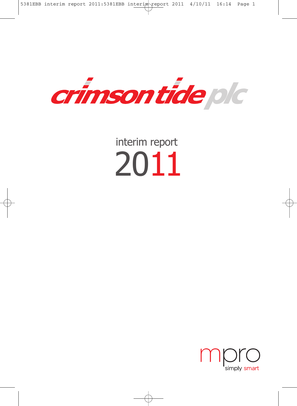

interim report 2011

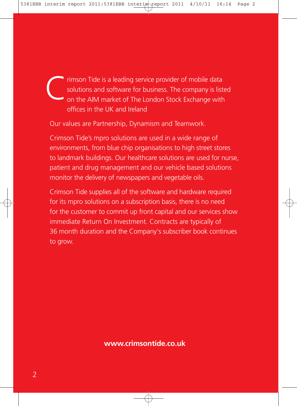rimson Tide is a leading service provider of mobile data solutions and software for business. The company is listed on the AIM market of The London Stock Exchange with offices in the UK and Ireland C

Our values are Partnership, Dynamism and Teamwork.

Crimson Tide's mpro solutions are used in a wide range of environments, from blue chip organisations to high street stores to landmark buildings. Our healthcare solutions are used for nurse, patient and drug management and our vehicle based solutions monitor the delivery of newspapers and vegetable oils.

Crimson Tide supplies all of the software and hardware required for its mpro solutions on a subscription basis, there is no need for the customer to commit up front capital and our services show immediate Return On Investment. Contracts are typically of 36 month duration and the Company's subscriber book continues to grow.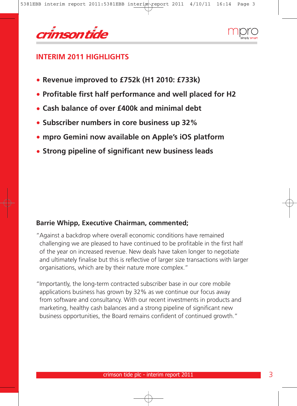



## **INTERIM 2011 HIGHLIGHTS**

- **• Revenue improved to £752k (H1 2010: £733k)**
- **• Profitable first half performance and well placed for H2**
- **• Cash balance of over £400k and minimal debt**
- **• Subscriber numbers in core business up 32%**
- **• mpro Gemini now available on Apple's iOS platform**
- **• Strong pipeline of significant new business leads**

### **Barrie Whipp, Executive Chairman, commented;**

"Against a backdrop where overall economic conditions have remained challenging we are pleased to have continued to be profitable in the first half of the year on increased revenue. New deals have taken longer to negotiate and ultimately finalise but this is reflective of larger size transactions with larger organisations, which are by their nature more complex."

"Importantly, the long-term contracted subscriber base in our core mobile applications business has grown by 32% as we continue our focus away from software and consultancy. With our recent investments in products and marketing, healthy cash balances and a strong pipeline of significant new business opportunities, the Board remains confident of continued growth."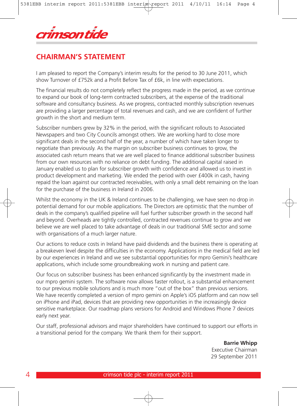

# **CHAIRMAN'S STATEMENT**

I am pleased to report the Company's interim results for the period to 30 June 2011, which show Turnover of £752k and a Profit Before Tax of £6k, in line with expectations.

The financial results do not completely reflect the progress made in the period, as we continue to expand our book of long-term contracted subscribers, at the expense of the traditional software and consultancy business. As we progress, contracted monthly subscription revenues are providing a larger percentage of total revenues and cash, and we are confident of further growth in the short and medium term.

Subscriber numbers grew by 32% in the period, with the significant rollouts to Associated Newspapers and two City Councils amongst others. We are working hard to close more significant deals in the second half of the year, a number of which have taken longer to negotiate than previously. As the margin on subscriber business continues to grow, the associated cash return means that we are well placed to finance additional subscriber business from our own resources with no reliance on debt funding. The additional capital raised in January enabled us to plan for subscriber growth with confidence and allowed us to invest in product development and marketing. We ended the period with over £400k in cash, having repaid the loan against our contracted receivables, with only a small debt remaining on the loan for the purchase of the business in Ireland in 2006.

Whilst the economy in the UK & Ireland continues to be challenging, we have seen no drop in potential demand for our mobile applications. The Directors are optimistic that the number of deals in the company's qualified pipeline will fuel further subscriber growth in the second half and beyond. Overheads are tightly controlled, contracted revenues continue to grow and we believe we are well placed to take advantage of deals in our traditional SME sector and some with organisations of a much larger nature.

Our actions to reduce costs in Ireland have paid dividends and the business there is operating at a breakeven level despite the difficulties in the economy. Applications in the medical field are led by our experiences in Ireland and we see substantial opportunities for mpro Gemini's healthcare applications, which include some groundbreaking work in nursing and patient care.

Our focus on subscriber business has been enhanced significantly by the investment made in our mpro gemini system. The software now allows faster rollout, is a substantial enhancement to our previous mobile solutions and is much more "out of the box" than previous versions. We have recently completed a version of mpro gemini on Apple's iOS platform and can now sell on iPhone and iPad, devices that are providing new opportunities in the increasingly device sensitive marketplace. Our roadmap plans versions for Android and Windows Phone 7 devices early next year.

Our staff, professional advisors and major shareholders have continued to support our efforts in a transitional period for the company. We thank them for their support.

> **Barrie Whipp** Executive Chairman 29 September 2011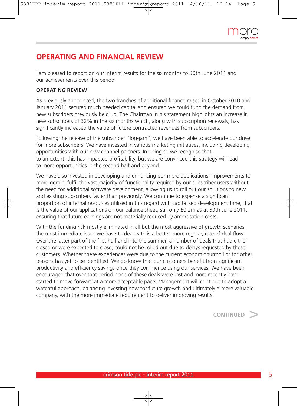

# **OPERATING AND FINANCIAL REVIEW**

I am pleased to report on our interim results for the six months to 30th June 2011 and our achievements over this period.

### **OPERATING REVIEW**

As previously announced, the two tranches of additional finance raised in October 2010 and January 2011 secured much needed capital and ensured we could fund the demand from new subscribers previously held up. The Chairman in his statement highlights an increase in new subscribers of 32% in the six months which, along with subscription renewals, has significantly increased the value of future contracted revenues from subscribers.

Following the release of the subscriber "log-jam", we have been able to accelerate our drive for more subscribers. We have invested in various marketing initiatives, including developing opportunities with our new channel partners. In doing so we recognise that, to an extent, this has impacted profitability, but we are convinced this strategy will lead to more opportunities in the second half and beyond.

We have also invested in developing and enhancing our mpro applications. Improvements to mpro gemini fulfil the vast majority of functionality required by our subscriber users without the need for additional software development, allowing us to roll out our solutions to new and existing subscribers faster than previously. We continue to expense a significant proportion of internal resources utilised in this regard with capitalised development time, that is the value of our applications on our balance sheet, still only £0.2m as at 30th June 2011, ensuring that future earnings are not materially reduced by amortisation costs.

With the funding risk mostly eliminated in all but the most aggressive of growth scenarios, the most immediate issue we have to deal with is a better, more regular, rate of deal flow. Over the latter part of the first half and into the summer, a number of deals that had either closed or were expected to close, could not be rolled out due to delays requested by these customers. Whether these experiences were due to the current economic turmoil or for other reasons has yet to be identified. We do know that our customers benefit from significant productivity and efficiency savings once they commence using our services. We have been encouraged that over that period none of these deals were lost and more recently have started to move forward at a more acceptable pace. Management will continue to adopt a watchful approach, balancing investing now for future growth and ultimately a more valuable company, with the more immediate requirement to deliver improving results.

**CONTINUED** >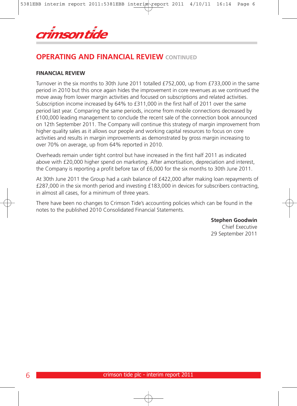

# **OPERATING AND FINANCIAL REVIEW CONTINUED**

### **FINANCIAL REVIEW**

Turnover in the six months to 30th June 2011 totalled £752,000, up from £733,000 in the same period in 2010 but this once again hides the improvement in core revenues as we continued the move away from lower margin activities and focused on subscriptions and related activities. Subscription income increased by 64% to £311,000 in the first half of 2011 over the same period last year. Comparing the same periods, income from mobile connections decreased by £100,000 leading management to conclude the recent sale of the connection book announced on 12th September 2011. The Company will continue this strategy of margin improvement from higher quality sales as it allows our people and working capital resources to focus on core activities and results in margin improvements as demonstrated by gross margin increasing to over 70% on average, up from 64% reported in 2010.

Overheads remain under tight control but have increased in the first half 2011 as indicated above with £20,000 higher spend on marketing. After amortisation, depreciation and interest, the Company is reporting a profit before tax of £6,000 for the six months to 30th June 2011.

At 30th June 2011 the Group had a cash balance of £422,000 after making loan repayments of £287,000 in the six month period and investing £183,000 in devices for subscribers contracting, in almost all cases, for a minimum of three years.

There have been no changes to Crimson Tide's accounting policies which can be found in the notes to the published 2010 Consolidated Financial Statements.

**Stephen Goodwin**

Chief Executive 29 September 2011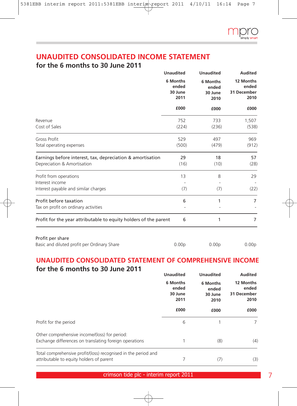

## **UNAUDITED CONSOLIDATED INCOME STATEMENT**

## **for the 6 months to 30 June 2011**

|                                                                                           | <b>Unaudited</b>                     | <b>Unaudited</b>                     | <b>Audited</b><br>12 Months<br>ended<br>31 December<br>2010 |  |
|-------------------------------------------------------------------------------------------|--------------------------------------|--------------------------------------|-------------------------------------------------------------|--|
|                                                                                           | 6 Months<br>ended<br>30 June<br>2011 | 6 Months<br>ended<br>30 June<br>2010 |                                                             |  |
|                                                                                           | £000                                 | £000                                 | £000                                                        |  |
| Revenue<br>Cost of Sales                                                                  | 752<br>(224)                         | 733<br>(236)                         | 1,507<br>(538)                                              |  |
| <b>Gross Profit</b><br>Total operating expenses                                           | 529<br>(500)                         | 497<br>(479)                         | 969<br>(912)                                                |  |
| Earnings before interest, tax, depreciation & amortisation<br>Depreciation & Amortisation | 29<br>(16)                           | 18<br>(10)                           | 57<br>(28)                                                  |  |
| Profit from operations<br>Interest income<br>Interest payable and similar charges         | 13<br>(7)                            | 8<br>(7)                             | 29<br>(22)                                                  |  |
| Profit before taxation<br>Tax on profit on ordinary activities                            | 6                                    | 1                                    | 7                                                           |  |
| Profit for the year attributable to equity holders of the parent                          | 6                                    | 1                                    | 7                                                           |  |
| Profit per share                                                                          |                                      |                                      |                                                             |  |

#### Basic and diluted profit per Ordinary Share 0.00p 0.00p 0.00p

### **UNAUDITED CONSOLIDATED STATEMENT OF COMPREHENSIVE INCOME for the 6 months to 30 June 2011**

|                                                                                                            | <b>Unaudited</b>                     | <b>Unaudited</b>                     | Audited |
|------------------------------------------------------------------------------------------------------------|--------------------------------------|--------------------------------------|---------|
|                                                                                                            | 6 Months<br>ended<br>30 June<br>2011 | 6 Months<br>ended<br>30 June<br>2010 |         |
|                                                                                                            | £000                                 | £000                                 | £000    |
| Profit for the period                                                                                      | 6                                    |                                      | 7       |
| Other comprehensive income/(loss) for period:<br>Exchange differences on translating foreign operations    |                                      | (8)                                  | (4)     |
| Total comprehensive profit/(loss) recognised in the period and<br>attributable to equity holders of parent |                                      | (7)                                  | (3)     |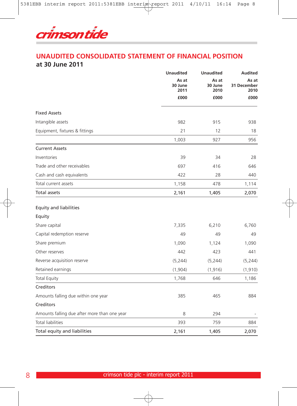

### **UNAUDITED CONSOLIDATED STATEMENT OF FINANCIAL POSITION at 30 June 2011**

|                                              | <b>Unaudited</b>         | <b>Unaudited</b>         | <b>Audited</b><br>As at<br>31 December<br>2010<br>£000 |  |
|----------------------------------------------|--------------------------|--------------------------|--------------------------------------------------------|--|
|                                              | As at<br>30 June<br>2011 | As at<br>30 June<br>2010 |                                                        |  |
|                                              | £000                     | £000                     |                                                        |  |
| <b>Fixed Assets</b>                          |                          |                          |                                                        |  |
| Intangible assets                            | 982                      | 915                      | 938                                                    |  |
| Equipment, fixtures & fittings               | 21                       | 12                       | 18                                                     |  |
|                                              | 1,003                    | 927                      | 956                                                    |  |
| <b>Current Assets</b>                        |                          |                          |                                                        |  |
| Inventories                                  | 39                       | 34                       | 28                                                     |  |
| Trade and other receivables                  | 697                      | 416                      | 646                                                    |  |
| Cash and cash equivalents                    | 422                      | 28                       | 440                                                    |  |
| Total current assets                         | 1,158                    | 478                      | 1,114                                                  |  |
| Total assets                                 | 2,161                    | 1,405                    | 2,070                                                  |  |
| <b>Equity and liabilities</b>                |                          |                          |                                                        |  |
| Equity                                       |                          |                          |                                                        |  |
| Share capital                                | 7,335                    | 6,210                    | 6,760                                                  |  |
| Capital redemption reserve                   | 49                       | 49                       | 49                                                     |  |
| Share premium                                | 1,090                    | 1,124                    | 1,090                                                  |  |
| Other reserves                               | 442                      | 423                      | 441                                                    |  |
| Reverse acquisition reserve                  | (5, 244)                 | (5,244)                  | (5,244)                                                |  |
| Retained earnings                            | (1,904)                  | (1, 916)                 | (1, 910)                                               |  |
| <b>Total Equity</b>                          | 1,768                    | 646                      | 1,186                                                  |  |
| Creditors                                    |                          |                          |                                                        |  |
| Amounts falling due within one year          | 385                      | 465                      | 884                                                    |  |
| Creditors                                    |                          |                          |                                                        |  |
| Amounts falling due after more than one year | 8                        | 294                      |                                                        |  |
| <b>Total liabilities</b>                     | 393                      | 759                      | 884                                                    |  |
| Total equity and liabilities                 | 2,161                    | 1,405                    | 2,070                                                  |  |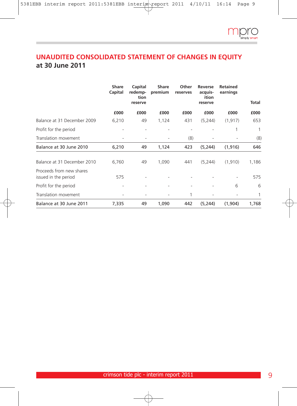

# **UNAUDITED CONSOLIDATED STATEMENT OF CHANGES IN EQUITY at 30 June 2011**

|                                                  | <b>Share</b><br>Capital | Capital<br>redemp-<br>tion<br>reserve | <b>Share</b><br>premium | Other<br>reserves | Reverse<br>acquis-<br>ition<br>reserve | <b>Retained</b><br>earnings | Total |
|--------------------------------------------------|-------------------------|---------------------------------------|-------------------------|-------------------|----------------------------------------|-----------------------------|-------|
|                                                  | £000                    | £000                                  | £000                    | £000              | £000                                   | £000                        | £000  |
| Balance at 31 December 2009                      | 6,210                   | 49                                    | 1,124                   | 431               | (5, 244)                               | (1, 917)                    | 653   |
| Profit for the period                            |                         |                                       |                         |                   |                                        | 1                           | 1     |
| Translation movement                             |                         |                                       |                         | (8)               |                                        |                             | (8)   |
| Balance at 30 June 2010                          | 6,210                   | 49                                    | 1,124                   | 423               | (5,244)                                | (1, 916)                    | 646   |
| Balance at 31 December 2010                      | 6,760                   | 49                                    | 1,090                   | 441               | (5, 244)                               | (1, 910)                    | 1,186 |
| Proceeds from new shares<br>issued in the period | 575                     |                                       |                         |                   |                                        |                             | 575   |
| Profit for the period                            |                         |                                       |                         |                   |                                        | 6                           | 6     |
| Translation movement                             |                         |                                       |                         | 1                 |                                        |                             | 1     |
| Balance at 30 June 2011                          | 7,335                   | 49                                    | 1,090                   | 442               | (5, 244)                               | (1,904)                     | 1,768 |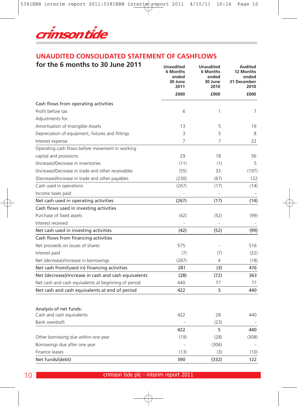

## **UNAUDITED CONSOLIDATED STATEMENT OF CASHFLOWS**

| for the 6 months to 30 June 2011                     | <b>Unaudited</b><br>6 Months<br>ended<br>30 June<br>2011 | <b>Unaudited</b><br>6 Months<br>ended<br>30 June<br>2010 | <b>Audited</b><br>12 Months<br>ended<br>31 December<br>2010 |
|------------------------------------------------------|----------------------------------------------------------|----------------------------------------------------------|-------------------------------------------------------------|
|                                                      | £000                                                     | £000                                                     | £000                                                        |
| Cash flows from operating activities                 |                                                          |                                                          |                                                             |
| Profit before tax                                    | 6                                                        | 1                                                        | $\overline{7}$                                              |
| Adjustments for:                                     |                                                          |                                                          |                                                             |
| Amortisation of Intangible Assets                    | 13                                                       | 5                                                        | 19                                                          |
| Depreciation of equipment, fixtures and fittings     | 3                                                        | 5                                                        | 8                                                           |
| Interest expense                                     | 7                                                        | 7                                                        | 22                                                          |
| Operating cash flows before movement in working      |                                                          |                                                          |                                                             |
| capital and provisions                               | 29                                                       | 18                                                       | 56                                                          |
| (Increase)/Decrease in inventories                   | (11)                                                     | (1)                                                      | 5                                                           |
| (Increase)/Decrease in trade and other receivables   | (55)                                                     | 33                                                       | (197)                                                       |
| (Decrease)/Increase in trade and other payables      | (230)                                                    | (67)                                                     | 122                                                         |
| Cash used in operations                              | (267)                                                    | (17)                                                     | (14)                                                        |
| Income taxes paid                                    |                                                          |                                                          |                                                             |
| Net cash used in operating activities                | (267)                                                    | (17)                                                     | (14)                                                        |
| Cash flows used in investing activities              |                                                          |                                                          |                                                             |
| Purchase of fixed assets                             | (42)                                                     | (52)                                                     | (99)                                                        |
| Interest received                                    |                                                          |                                                          |                                                             |
| Net cash used in investing activities                | (42)                                                     | (52)                                                     | (99)                                                        |
| Cash flows from financing activities                 |                                                          |                                                          |                                                             |
| Net proceeds on issues of shares                     | 575                                                      |                                                          | 516                                                         |
| Interest paid                                        | (7)                                                      | (7)                                                      | (22)                                                        |
| Net (decrease)/increase in borrowings                | (287)                                                    | 4                                                        | (18)                                                        |
| Net cash from/(used in) financing activities         | 281                                                      | (3)                                                      | 476                                                         |
| Net (decrease)/increase in cash and cash equivalents | (28)                                                     | (72)                                                     | 363                                                         |
| Net cash and cash equivalents at beginning of period | 440                                                      | 77                                                       | 77                                                          |
| Net cash and cash equivalents at end of period       | 422                                                      | 5                                                        | 440                                                         |
| Analysis of net funds:                               |                                                          |                                                          |                                                             |
| Cash and cash equivalents                            | 422                                                      | 28                                                       | 440                                                         |
| Bank overdraft                                       |                                                          | (23)                                                     |                                                             |
|                                                      | 422                                                      | 5                                                        | 440                                                         |
| Other borrowing due within one year                  | (19)                                                     | (28)                                                     | (308)                                                       |
| Borrowings due after one year                        |                                                          | (306)                                                    |                                                             |
| Finance leases                                       | (13)                                                     | (3)                                                      | (10)                                                        |
| Net funds/(debt)                                     | 390                                                      | (332)                                                    | 122                                                         |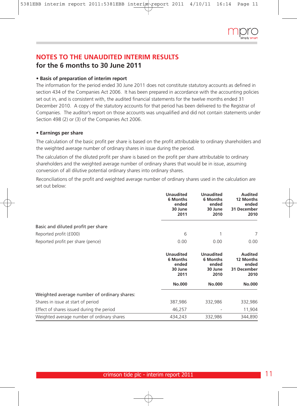## **NOTES TO THE UNAUDITED INTERIM RESULTS for the 6 months to 30 June 2011**

### **• Basis of preparation of interim report**

The information for the period ended 30 June 2011 does not constitute statutory accounts as defined in section 434 of the Companies Act 2006. It has been prepared in accordance with the accounting policies set out in, and is consistent with, the audited financial statements for the twelve months ended 31 December 2010. A copy of the statutory accounts for that period has been delivered to the Registrar of Companies. The auditor's report on those accounts was unqualified and did not contain statements under Section 498 (2) or (3) of the Companies Act 2006.

### **• Earnings per share**

The calculation of the basic profit per share is based on the profit attributable to ordinary shareholders and the weighted average number of ordinary shares in issue during the period.

The calculation of the diluted profit per share is based on the profit per share attributable to ordinary shareholders and the weighted average number of ordinary shares that would be in issue, assuming conversion of all dilutive potential ordinary shares into ordinary shares.

Reconciliations of the profit and weighted average number of ordinary shares used in the calculation are set out below:

|                                             | <b>Unaudited</b><br>6 Months<br>ended<br>30 June<br>2011 | <b>Unaudited</b><br>6 Months<br>ended<br>30 June<br>2010 | <b>Audited</b><br>12 Months<br>ended<br>31 December<br>2010 |
|---------------------------------------------|----------------------------------------------------------|----------------------------------------------------------|-------------------------------------------------------------|
| Basic and diluted profit per share          |                                                          |                                                          |                                                             |
| Reported profit (£000)                      | 6<br>0.00                                                | 1                                                        | 7<br>0.00                                                   |
| Reported profit per share (pence)           |                                                          | 0.00                                                     |                                                             |
|                                             | <b>Unaudited</b><br>6 Months<br>ended<br>30 June<br>2011 | <b>Unaudited</b><br>6 Months<br>ended<br>30 June<br>2010 | <b>Audited</b><br>12 Months<br>ended<br>31 December<br>2010 |
|                                             | No.000                                                   | <b>No.000</b>                                            | <b>No.000</b>                                               |
| Weighted average number of ordinary shares: |                                                          |                                                          |                                                             |
| Shares in issue at start of period          | 387,986                                                  | 332,986                                                  | 332,986                                                     |
| Effect of shares issued during the period   | 46,257                                                   |                                                          | 11,904                                                      |
| Weighted average number of ordinary shares  | 434,243                                                  | 332,986                                                  | 344,890                                                     |